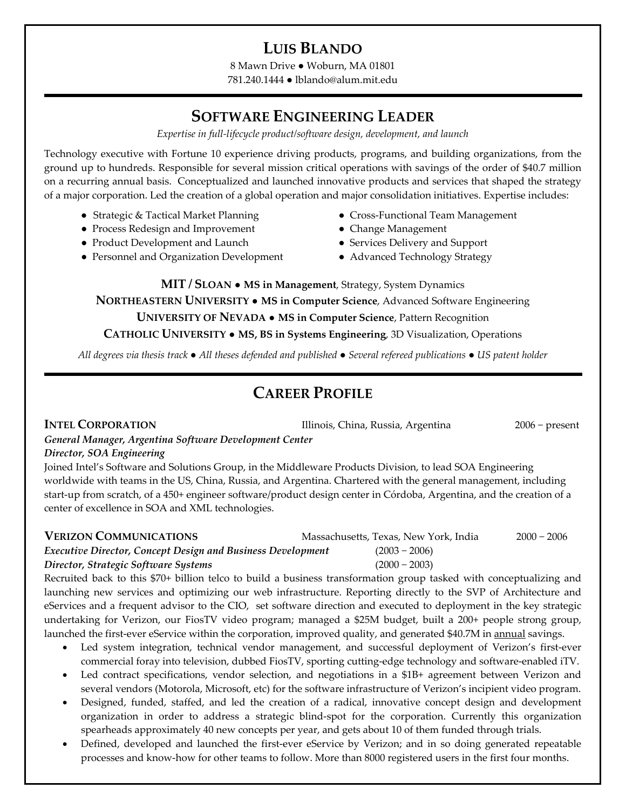## **LUIS BLANDO**

8 Mawn Drive ● Woburn, MA 01801 781.240.1444 ● lblando@alum.mit.edu

## **SOFTWARE ENGINEERING LEADER**

*Expertise in full‐lifecycle product/software design, development, and launch*

Technology executive with Fortune 10 experience driving products, programs, and building organizations, from the ground up to hundreds. Responsible for several mission critical operations with savings of the order of \$40.7 million on a recurring annual basis. Conceptualized and launched innovative products and services that shaped the strategy of a major corporation. Led the creation of a global operation and major consolidation initiatives. Expertise includes:

- 
- Process Redesign and Improvement Change Management
- Product Development and Launch ● Services Delivery and Support
- Personnel and Organization Development Advanced Technology Strategy
- Strategic & Tactical Market Planning Cross-Functional Team Management
	-
	-
	-

**MIT / SLOAN** ● **MS in Management**, Strategy, System Dynamics **NORTHEASTERN UNIVERSITY** ● **MS in Computer Science**, Advanced Software Engineering **UNIVERSITY OF NEVADA** ● **MS in Computer Science**, Pattern Recognition **CATHOLIC UNIVERSITY** ● **MS, BS in Systems Engineering**, 3D Visualization, Operations

All degrees via thesis track  $\bullet$  All theses defended and published  $\bullet$  Several refereed publications  $\bullet$  US patent holder

# **CAREER PROFILE**

**INTEL CORPORATION** Illinois, China, Russia, Argentina 2006 − present

# *General Manager, Argentina Software Development Center*

#### *Director, SOA Engineering*

Joined Intel's Software and Solutions Group, in the Middleware Products Division, to lead SOA Engineering worldwide with teams in the US, China, Russia, and Argentina. Chartered with the general management, including start-up from scratch, of a 450+ engineer software/product design center in Córdoba, Argentina, and the creation of a center of excellence in SOA and XML technologies.

| <b>VERIZON COMMUNICATIONS</b>                                      | Massachusetts, Texas, New York, India | $2000 - 2006$ |
|--------------------------------------------------------------------|---------------------------------------|---------------|
| <b>Executive Director, Concept Design and Business Development</b> | $(2003 - 2006)$                       |               |
| Director, Strategic Software Systems                               | $(2000 - 2003)$                       |               |

Recruited back to this \$70+ billion telco to build a business transformation group tasked with conceptualizing and launching new services and optimizing our web infrastructure. Reporting directly to the SVP of Architecture and eServices and a frequent advisor to the CIO, set software direction and executed to deployment in the key strategic undertaking for Verizon, our FiosTV video program; managed a \$25M budget, built a 200+ people strong group, launched the first-ever eService within the corporation, improved quality, and generated \$40.7M in **annual** savings.

- Led system integration, technical vendor management, and successful deployment of Verizon's first-ever commercial foray into television, dubbed FiosTV, sporting cutting-edge technology and software-enabled iTV.
- Led contract specifications, vendor selection, and negotiations in a \$1B+ agreement between Verizon and several vendors (Motorola, Microsoft, etc) for the software infrastructure of Verizon's incipient video program.
- Designed, funded, staffed, and led the creation of a radical, innovative concept design and development organization in order to address a strategic blind‐spot for the corporation. Currently this organization spearheads approximately 40 new concepts per year, and gets about 10 of them funded through trials.
- Defined, developed and launched the first-ever eService by Verizon; and in so doing generated repeatable processes and know‐how for other teams to follow. More than 8000 registered users in the first four months.